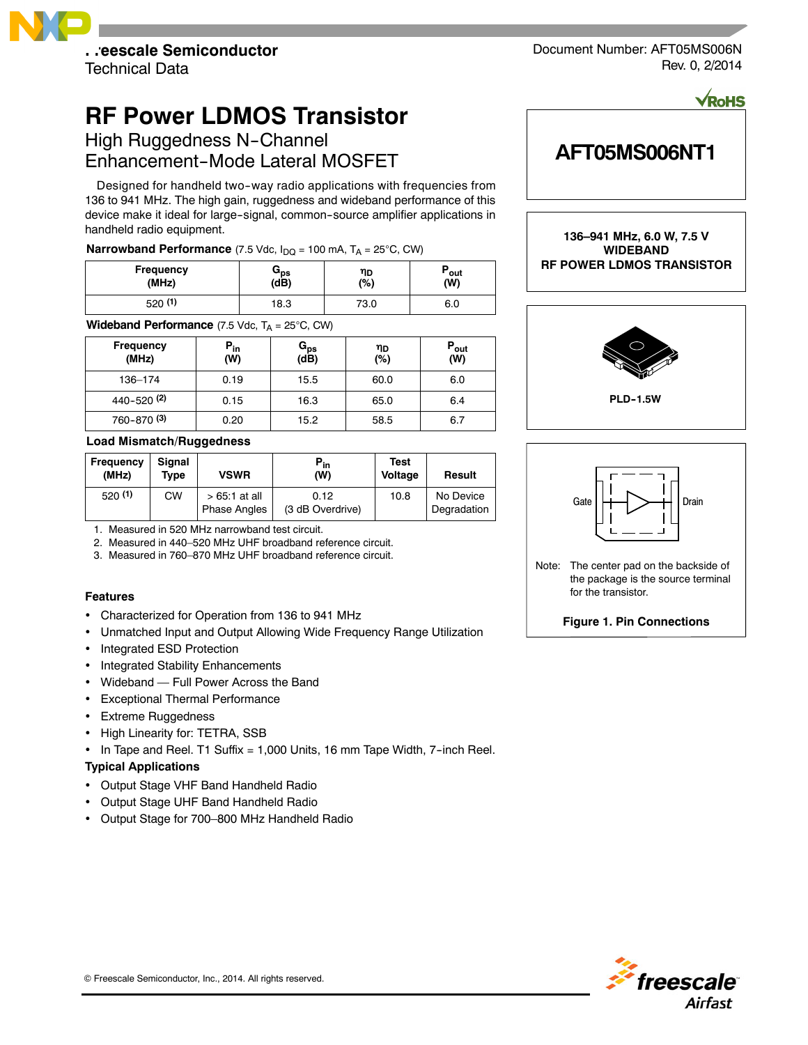

**RF Power LDMOS Transistor**

High Ruggedness N-Channel Enhancement-Mode Lateral MOSFET

Designed for handheld two-way radio applications with frequencies from 136 to 941 MHz. The high gain, ruggedness and wideband performance of this device make it ideal for large-signal, common-source amplifier applications in handheld radio equipment.

# **Narrowband Performance** (7.5 Vdc,  $I_{DQ}$  = 100 mA,  $T_A$  = 25°C, CW)

| <b>Frequency</b> | ops  | ηD   | `out |
|------------------|------|------|------|
| (MHz)            | (dB) | (%)  | (W)  |
| 520(1)           | 18.3 | 73.0 | 6.0  |

**Wideband Performance** (7.5 Vdc,  $T_A = 25^{\circ}C$ , CW)

| <b>Frequency</b><br>(MHz) | $P_{in}$<br>(W) | $\mathtt{G_{ps}}$<br>(dB) | ηD<br>(%) | $P_{\text{out}}$<br>(W) |
|---------------------------|-----------------|---------------------------|-----------|-------------------------|
| 136-174                   | 0.19            | 15.5                      | 60.0      | 6.0                     |
| 440-520(2)                | 0.15            | 16.3                      | 65.0      | 6.4                     |
| 760-870 <sup>(3)</sup>    | 0.20            | 15.2                      | 58.5      | 6.7                     |

# **Load Mismatch/Ruggedness**

| Frequency<br>(MHz) | Sianal<br>Tvpe | <b>VSWR</b>                           | $P_{in}$<br>(W)          | Test<br>Voltage | Result                   |
|--------------------|----------------|---------------------------------------|--------------------------|-----------------|--------------------------|
| 520(1)             | СW             | $>65:1$ at all<br><b>Phase Angles</b> | 0.12<br>(3 dB Overdrive) | 10.8            | No Device<br>Degradation |

1. Measured in 520 MHz narrowband test circuit.

- 2. Measured in 440–520 MHz UHF broadband reference circuit.
- 3. Measured in 760–870 MHz UHF broadband reference circuit.

# **Features**

- Characterized for Operation from 136 to 941 MHz
- Unmatched Input and Output Allowing Wide Frequency Range Utilization
- Integrated ESD Protection
- Integrated Stability Enhancements
- Wideband Full Power Across the Band
- Exceptional Thermal Performance
- Extreme Ruggedness
- High Linearity for: TETRA, SSB
- $\cdot$  In Tape and Reel. T1 Suffix = 1,000 Units, 16 mm Tape Width, 7-inch Reel.

# **Typical Applications**

- Output Stage VHF Band Handheld Radio
- Output Stage UHF Band Handheld Radio
- Output Stage for 700–800 MHz Handheld Radio

Document Number: AFT05MS006N Rev. 0, 2/2014

**VRoHS** 

# **AFT05MS006NT1**

**136–941 MHz, 6.0 W, 7.5 V WIDEBAND RF POWER LDMOS TRANSISTOR**





the package is the source terminal for the transistor.

**Figure 1. Pin Connections**

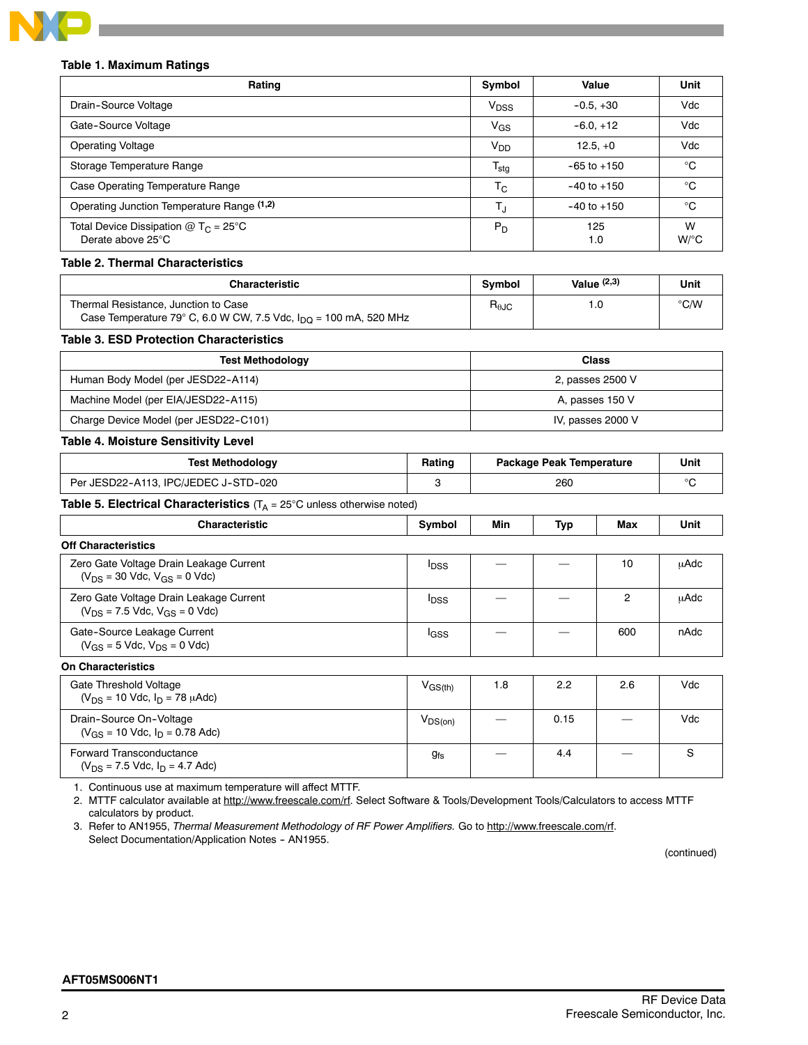

# **Table 1. Maximum Ratings**

| Rating                                                                | Symbol                    | Value           | Unit                      |
|-----------------------------------------------------------------------|---------------------------|-----------------|---------------------------|
| Drain-Source Voltage                                                  | V <sub>DSS</sub>          | $-0.5, +30$     | Vdc                       |
| Gate-Source Voltage                                                   | V <sub>GS</sub>           | $-6.0, +12$     | Vdc                       |
| <b>Operating Voltage</b>                                              | V <sub>DD</sub>           | $12.5.+0$       | Vdc                       |
| Storage Temperature Range                                             | $\mathsf{T_{\text{stg}}}$ | $-65$ to $+150$ | °C                        |
| Case Operating Temperature Range                                      | $\mathsf{T}_{\mathsf{C}}$ | $-40$ to $+150$ | °C                        |
| Operating Junction Temperature Range (1,2)                            | T,                        | $-40$ to $+150$ | °C                        |
| Total Device Dissipation @ T <sub>C</sub> = 25°C<br>Derate above 25°C | $P_D$                     | 125<br>1.0      | W<br>$W$ <sup>o</sup> $C$ |

# **Table 2. Thermal Characteristics**

| <b>Characteristic</b>                                                                                                | <b>Symbol</b>          | Value $(2,3)$ | <b>Unit</b>   |
|----------------------------------------------------------------------------------------------------------------------|------------------------|---------------|---------------|
| Thermal Resistance, Junction to Case<br>Case Temperature 79° C, 6.0 W CW, 7.5 Vdc, $I_{\text{DO}}$ = 100 mA, 520 MHz | $R_{\theta \text{JC}}$ |               | $\degree$ C/W |

# **Table 3. ESD Protection Characteristics**

| <b>Test Methodology</b>               | <b>Class</b>      |
|---------------------------------------|-------------------|
| Human Body Model (per JESD22-A114)    | 2, passes 2500 V  |
| Machine Model (per EIA/JESD22-A115)   | A, passes 150 V   |
| Charge Device Model (per JESD22-C101) | IV, passes 2000 V |

# **Table 4. Moisture Sensitivity Level**

| <b>Test Methodology</b>                                                                 | Rating                            |             | <b>Package Peak Temperature</b> |              | Unit      |
|-----------------------------------------------------------------------------------------|-----------------------------------|-------------|---------------------------------|--------------|-----------|
| Per JESD22-A113, IPC/JEDEC J-STD-020                                                    |                                   |             | 260                             |              |           |
| <b>Table 5. Electrical Characteristics</b> ( $T_A = 25^\circ$ C unless otherwise noted) |                                   |             |                                 |              |           |
| Ohnes at a station                                                                      | Construction of the Second Second | <b>BALL</b> | $\mathbf{F}$ and $\mathbf{F}$   | <b>BRANK</b> | $11 - 14$ |

| <b>Characteristic</b>                                                             | Symbol                                  | Min | Typ  | Max | Unit |
|-----------------------------------------------------------------------------------|-----------------------------------------|-----|------|-----|------|
| <b>Off Characteristics</b>                                                        |                                         |     |      |     |      |
| Zero Gate Voltage Drain Leakage Current<br>$(V_{DS} = 30$ Vdc, $V_{GS} = 0$ Vdc)  | <sup>l</sup> DSS                        |     |      | 10  | μAdc |
| Zero Gate Voltage Drain Leakage Current<br>$(V_{DS} = 7.5$ Vdc, $V_{GS} = 0$ Vdc) | <b>I</b> <sub>DSS</sub>                 |     |      | 2   | uAdc |
| Gate-Source Leakage Current<br>$(V_{GS} = 5$ Vdc, $V_{DS} = 0$ Vdc)               | lgss                                    |     |      | 600 | nAdc |
| <b>On Characteristics</b>                                                         |                                         |     |      |     |      |
| Gate Threshold Voltage<br>$(V_{DS} = 10$ Vdc, $I_{D} = 78$ $\mu$ Adc)             | $\mathsf{V}_{\mathsf{GS}(\mathsf{th})}$ | 1.8 | 2.2  | 2.6 | Vdc  |
| Drain-Source On-Voltage<br>$(V_{GS} = 10$ Vdc, $I_D = 0.78$ Adc)                  | $V_{DS(on)}$                            |     | 0.15 |     | Vdc  |
| Forward Transconductance                                                          | $g_{fs}$                                |     | 4.4  |     | S    |

1. Continuous use at maximum temperature will affect MTTF.

 $(V_{DS} = 7.5$  Vdc,  $I_D = 4.7$  Adc)

2. MTTF calculator available at http://www.freescale.com/rf. Select Software & Tools/Development Tools/Calculators to access MTTF calculators by product.

3. Refer to AN1955, *Thermal Measurement Methodology of RF Power Amplifiers.* Go to http://www.freescale.com/rf. Select Documentation/Application Notes - AN1955.

(continued)

# **AFT05MS006NT1**

 $g_{\rm fs}$  | — | 4.4 | — | S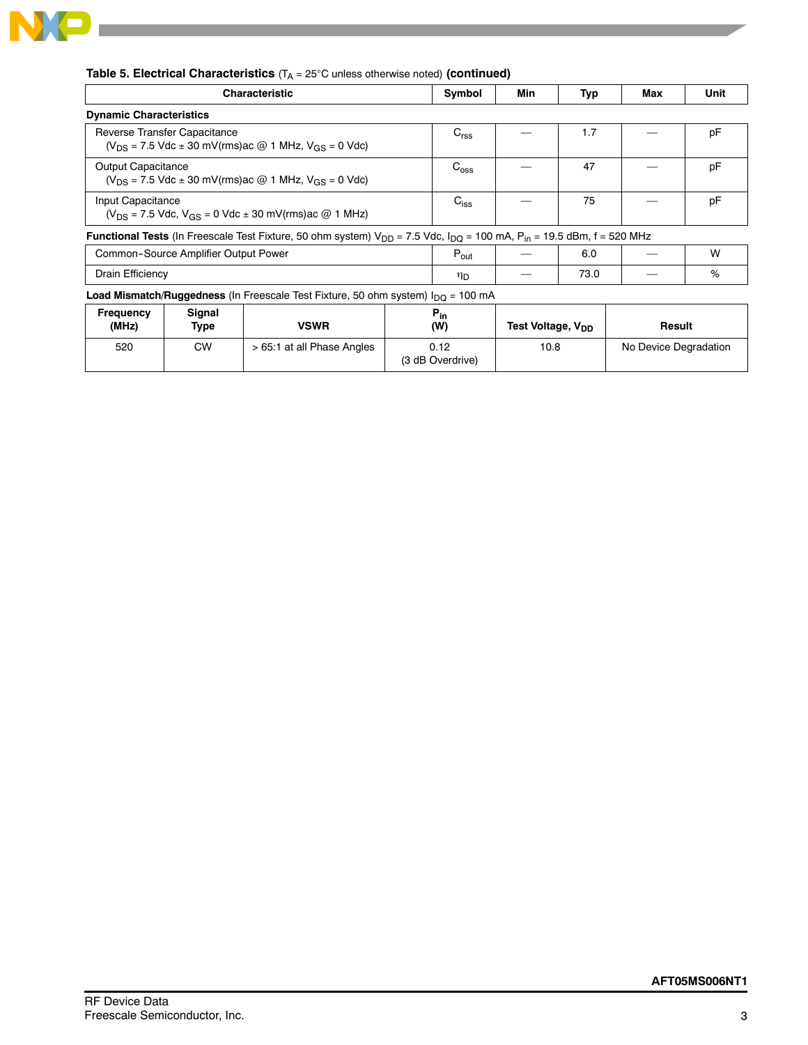

|                                |                                      | <b>Table 5. Electrical Characteristics</b> ( $T_A = 25^{\circ}$ C unless otherwise noted) (continued)                                             |                  |                               |            |                       |      |
|--------------------------------|--------------------------------------|---------------------------------------------------------------------------------------------------------------------------------------------------|------------------|-------------------------------|------------|-----------------------|------|
|                                |                                      | <b>Characteristic</b>                                                                                                                             | Symbol           | Min                           | <b>Typ</b> | Max                   | Unit |
| <b>Dynamic Characteristics</b> |                                      |                                                                                                                                                   |                  |                               |            |                       |      |
|                                | Reverse Transfer Capacitance         | $(V_{DS} = 7.5$ Vdc $\pm$ 30 mV(rms) ac @ 1 MHz, $V_{GS} = 0$ Vdc)                                                                                | C <sub>rss</sub> |                               | 1.7        |                       | pF   |
| <b>Output Capacitance</b>      |                                      | $(V_{DS} = 7.5$ Vdc $\pm$ 30 mV(rms) ac @ 1 MHz, $V_{GS} = 0$ Vdc)                                                                                | $C_{\text{oss}}$ |                               | 47         |                       | pF   |
| Input Capacitance              |                                      | $(V_{DS} = 7.5$ Vdc, $V_{GS} = 0$ Vdc $\pm$ 30 mV(rms) ac @ 1 MHz)                                                                                | $C_{iss}$        |                               | 75         |                       | pF   |
|                                |                                      | <b>Functional Tests</b> (In Freescale Test Fixture, 50 ohm system) $V_{DD}$ = 7.5 Vdc, $I_{DQ}$ = 100 mA, P <sub>in</sub> = 19.5 dBm, f = 520 MHz |                  |                               |            |                       |      |
|                                | Common-Source Amplifier Output Power |                                                                                                                                                   | $P_{\text{out}}$ |                               | 6.0        |                       | W    |
| Drain Efficiency               |                                      |                                                                                                                                                   | ηD               |                               | 73.0       |                       | %    |
|                                |                                      | <b>Load Mismatch/Ruggedness</b> (In Freescale Test Fixture, 50 ohm system) $I_{\text{DO}} = 100 \text{ mA}$                                       |                  |                               |            |                       |      |
| <b>Frequency</b><br>(MHz)      | Signal<br>Type                       | <b>VSWR</b>                                                                                                                                       | $P_{in}$<br>(W)  | Test Voltage, V <sub>DD</sub> |            | Result                |      |
| 520                            | <b>CW</b>                            | > 65:1 at all Phase Angles                                                                                                                        | 0.12             | 10.8                          |            | No Device Degradation |      |

(3 dB Overdrive)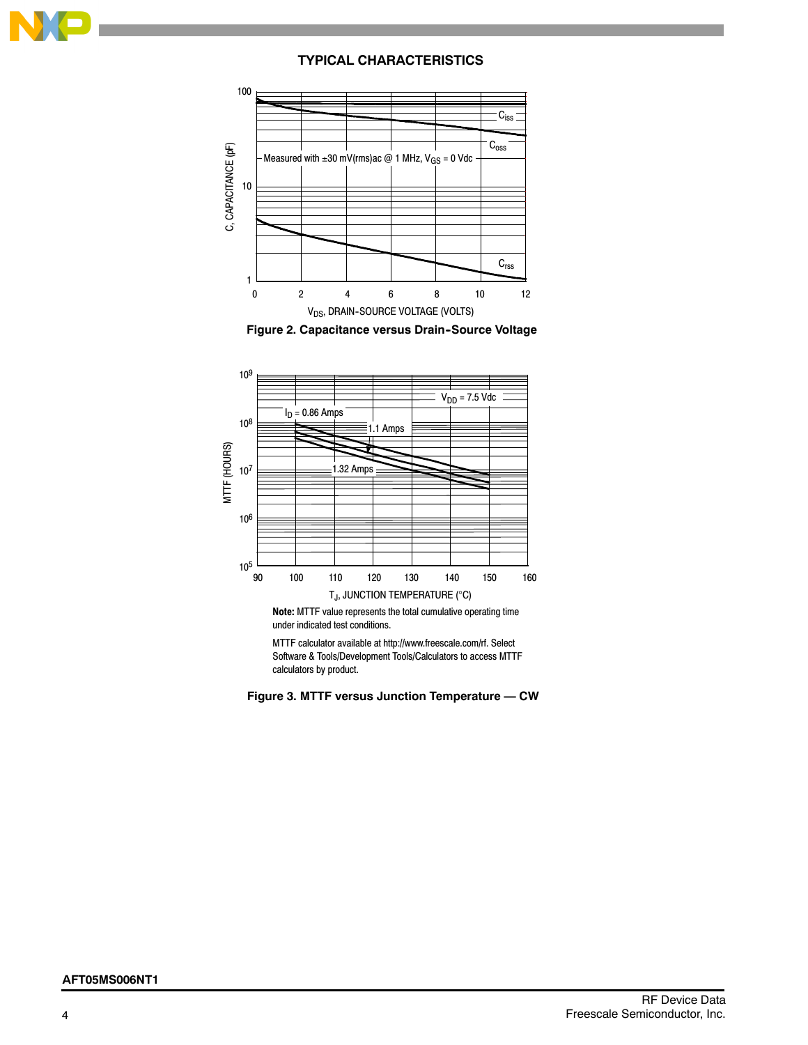

# **TYPICAL CHARACTERISTICS**







**Note:** MTTF value represents the total cumulative operating time under indicated test conditions.

MTTF calculator available at http://www.freescale.com/rf. Select Software & Tools/Development Tools/Calculators to access MTTF calculators by product.

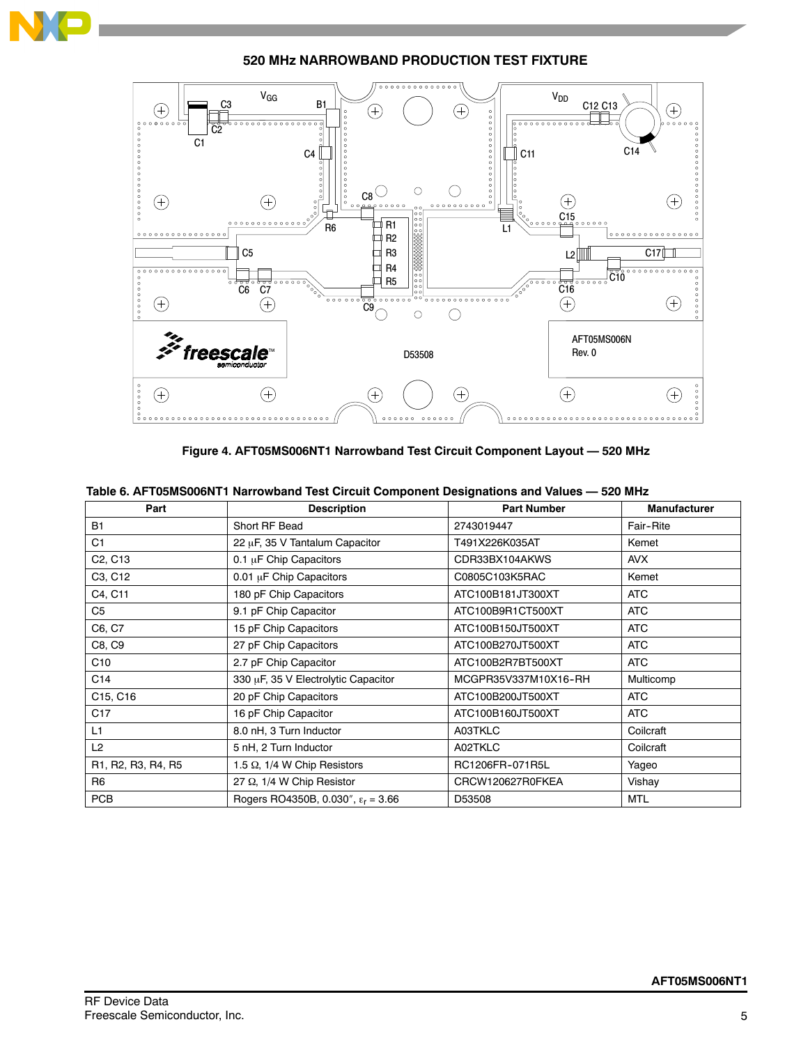

**520 MHz NARROWBAND PRODUCTION TEST FIXTURE**



**Figure 4. AFT05MS006NT1 Narrowband Test Circuit Component Layout — 520 MHz**

|  |  |  | Table 6. AFT05MS006NT1 Narrowband Test Circuit Component Designations and Values - 520 MHz |  |
|--|--|--|--------------------------------------------------------------------------------------------|--|
|--|--|--|--------------------------------------------------------------------------------------------|--|

| Part                             | <b>Description</b>                          | <b>Part Number</b>   | <b>Manufacturer</b> |
|----------------------------------|---------------------------------------------|----------------------|---------------------|
| <b>B1</b>                        | Short RF Bead                               | 2743019447           | Fair-Rite           |
| C <sub>1</sub>                   | 22 µF, 35 V Tantalum Capacitor              | T491X226K035AT       | Kemet               |
| C <sub>2</sub> , C <sub>13</sub> | 0.1 µF Chip Capacitors                      | CDR33BX104AKWS       | <b>AVX</b>          |
| C3, C12                          | 0.01 µF Chip Capacitors                     | C0805C103K5RAC       | Kemet               |
| C4, C11                          | 180 pF Chip Capacitors                      | ATC100B181JT300XT    | <b>ATC</b>          |
| C5                               | 9.1 pF Chip Capacitor                       | ATC100B9R1CT500XT    | ATC                 |
| C6, C7                           | 15 pF Chip Capacitors                       | ATC100B150JT500XT    | ATC                 |
| C8, C9                           | 27 pF Chip Capacitors                       | ATC100B270JT500XT    | <b>ATC</b>          |
| C <sub>10</sub>                  | 2.7 pF Chip Capacitor                       | ATC100B2R7BT500XT    | <b>ATC</b>          |
| C <sub>14</sub>                  | 330 µF, 35 V Electrolytic Capacitor         | MCGPR35V337M10X16-RH | Multicomp           |
| C15, C16                         | 20 pF Chip Capacitors                       | ATC100B200JT500XT    | <b>ATC</b>          |
| C <sub>17</sub>                  | 16 pF Chip Capacitor                        | ATC100B160JT500XT    | <b>ATC</b>          |
| L1                               | 8.0 nH, 3 Turn Inductor                     | A03TKLC              | Coilcraft           |
| L2                               | 5 nH, 2 Turn Inductor                       | A02TKLC              | Coilcraft           |
| R1, R2, R3, R4, R5               | 1.5 $\Omega$ , 1/4 W Chip Resistors         | RC1206FR-071R5L      | Yageo               |
| R <sub>6</sub>                   | 27 $\Omega$ , 1/4 W Chip Resistor           | CRCW120627R0FKEA     | Vishay              |
| <b>PCB</b>                       | Rogers RO4350B, 0.030", $\epsilon_r$ = 3.66 | D53508               | <b>MTL</b>          |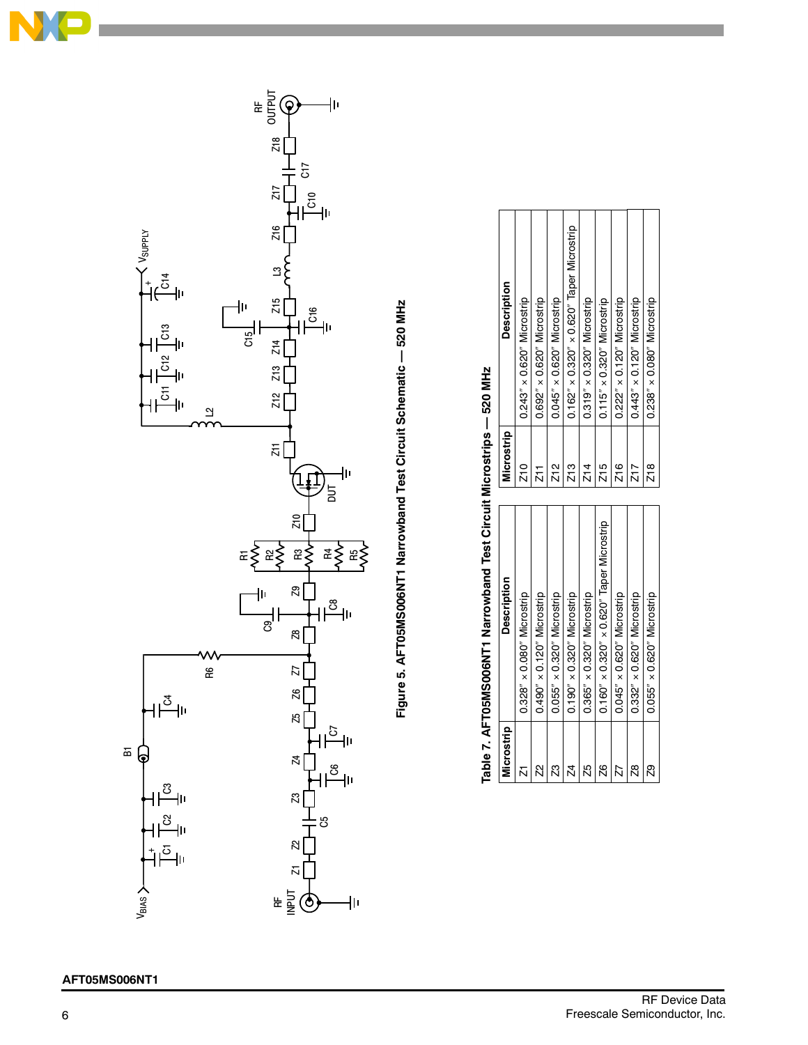

# **AFT05MS006NT1**



| Microstrip | <b>Description</b>                                       | Microstrip    | <b>Description</b>                                       |
|------------|----------------------------------------------------------|---------------|----------------------------------------------------------|
|            | $0.328'' \times 0.080''$ Microstrip                      | Z10           | $0.243'' \times 0.620''$ Microstrip                      |
| Ñ          | $0.490'' \times 0.120''$ Microstrip                      | 71<br>Z       | $0.692'' \times 0.620''$ Microstrip                      |
| Z3         | $0.055'' \times 0.320''$ Microstrip                      | Z12           | $0.045'' \times 0.620''$ Microstrip                      |
| 24         | $0.190'' \times 0.320''$ Microstrip                      | Z13           | $0.162'' \times 0.320'' \times 0.620''$ Taper Microstrip |
| 25         | $0.365'' \times 0.320''$ Microstrip                      | Z14           | $0.319'' \times 0.320''$ Microstrip                      |
| 26         | $0.160'' \times 0.320'' \times 0.620''$ Taper Microstrip | Z15           | $0.115'' \times 0.320''$ Microstrip                      |
|            | $0.045'' \times 0.620''$ Microstrip                      | Z16           | $0.222'' \times 0.120''$ Microstrip                      |
| g          | $0.332'' \times 0.620''$ Microstrip                      | Z17           | $0.443'' \times 0.120''$ Microstrip                      |
| 29         | $0.055'' \times 0.620''$ Microstrip                      | $\frac{8}{2}$ | $0.238'' \times 0.080''$ Microstrip                      |

 $\Omega$ 

# Table 7. AFT05MS006NT1 Narrowband Test Circuit Microstrips - 520 MHz **Table 7. AFT05MS006NT1 Narrowband Test Circuit Microstrips — 520 MHz**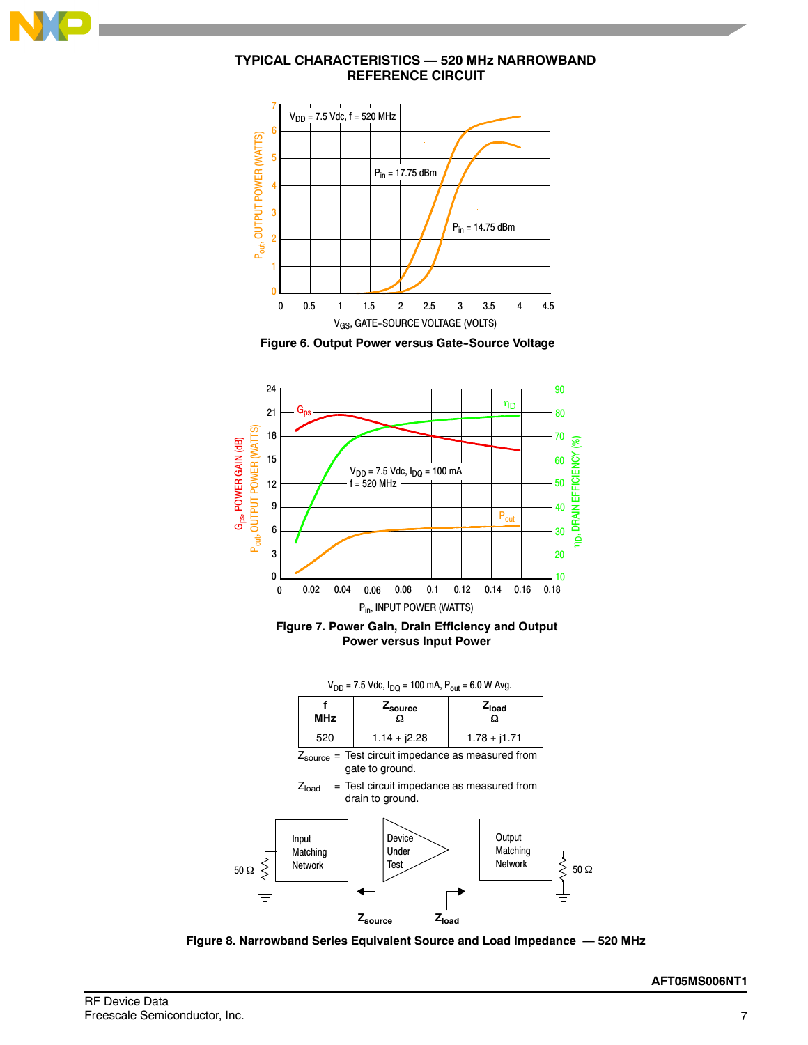

# **TYPICAL CHARACTERISTICS — 520 MHz NARROWBAND REFERENCE CIRCUIT**









|            | $V_{DD}$ = 7.5 Vdc, $I_{DO}$ = 100 mA, $P_{out}$ = 6.0 W Avg. |                |
|------------|---------------------------------------------------------------|----------------|
| <b>MHz</b> | ∠ <sub>source</sub>                                           | Zload          |
| 520        | $1.14 + j2.28$                                                | $1.78 + j1.71$ |

 $Z_{source}$  = Test circuit impedance as measured from gate to ground.





**Figure 8. Narrowband Series Equivalent Source and Load Impedance — 520 MHz**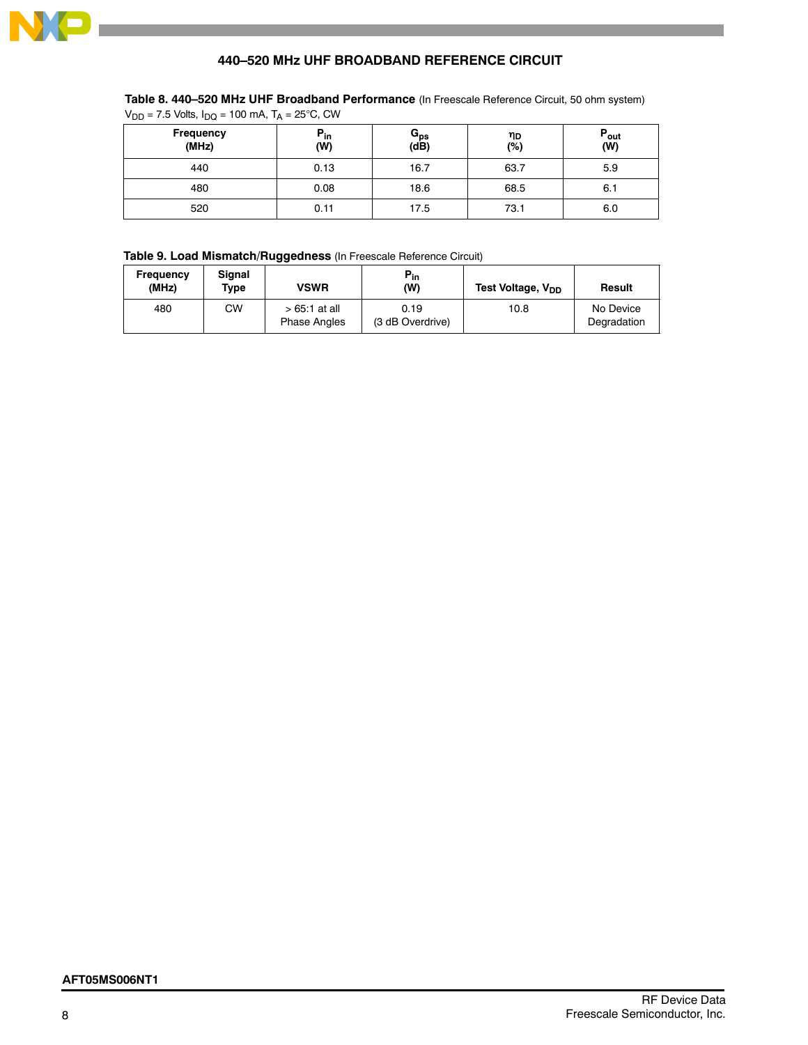

# **440–520 MHz UHF BROADBAND REFERENCE CIRCUIT**

| Frequency<br>(MHz) | $P_{in}$<br>(W) | $G_{ps}$<br>(dB) | ηD<br>(%) | $P_{\text{out}}$<br>(W) |
|--------------------|-----------------|------------------|-----------|-------------------------|
| 440                | 0.13            | 16.7             | 63.7      | 5.9                     |
| 480                | 0.08            | 18.6             | 68.5      | 6.1                     |
| 520                | 0.11            | 17.5             | 73.1      | 6.0                     |

# **Table 8. 440–520 MHz UHF Broadband Performance** (In Freescale Reference Circuit, 50 ohm system)<br>Von = 7.5 Volts Jpg = 100 mA T<sub>A</sub> = 25°C, CW  $= 7.5$  Volts,  $I_{\text{DO}} = 100$  mA,  $T_A = 25^{\circ}$ C, CW

# **Table 9. Load Mismatch/Ruggedness** (In Freescale Reference Circuit)

| Frequency<br>(MHz) | Sianal<br>Type | <b>VSWR</b>                           | $P_{in}$<br>(W)          | Test Voltage, V <sub>DD</sub> | Result                   |
|--------------------|----------------|---------------------------------------|--------------------------|-------------------------------|--------------------------|
| 480                | СW             | $>65.1$ at all<br><b>Phase Angles</b> | 0.19<br>(3 dB Overdrive) | 10.8                          | No Device<br>Degradation |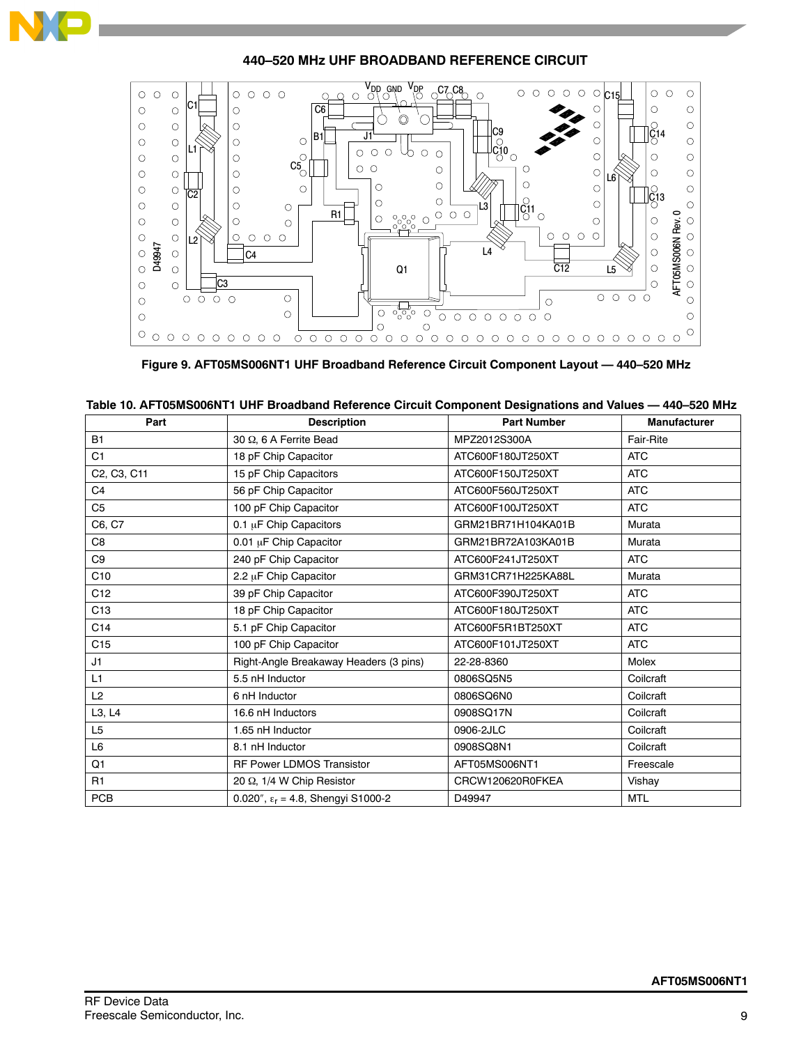

# **440–520 MHz UHF BROADBAND REFERENCE CIRCUIT**



**Figure 9. AFT05MS006NT1 UHF Broadband Reference Circuit Component Layout — 440–520 MHz**

| Part            | <b>Description</b>                          | <b>Part Number</b> | <b>Manufacturer</b> |
|-----------------|---------------------------------------------|--------------------|---------------------|
| <b>B1</b>       | 30 Q, 6 A Ferrite Bead                      | MPZ2012S300A       | Fair-Rite           |
| C <sub>1</sub>  | 18 pF Chip Capacitor                        | ATC600F180JT250XT  | <b>ATC</b>          |
| C2, C3, C11     | 15 pF Chip Capacitors                       | ATC600F150JT250XT  | <b>ATC</b>          |
| C <sub>4</sub>  | 56 pF Chip Capacitor                        | ATC600F560JT250XT  | <b>ATC</b>          |
| C <sub>5</sub>  | 100 pF Chip Capacitor                       | ATC600F100JT250XT  | <b>ATC</b>          |
| C6, C7          | 0.1 µF Chip Capacitors                      | GRM21BR71H104KA01B | Murata              |
| C <sub>8</sub>  | 0.01 µF Chip Capacitor                      | GRM21BR72A103KA01B | Murata              |
| C9              | 240 pF Chip Capacitor                       | ATC600F241JT250XT  | <b>ATC</b>          |
| C10             | 2.2 µF Chip Capacitor                       | GRM31CR71H225KA88L | Murata              |
| C12             | 39 pF Chip Capacitor                        | ATC600F390JT250XT  | <b>ATC</b>          |
| C13             | 18 pF Chip Capacitor                        | ATC600F180JT250XT  | <b>ATC</b>          |
| C14             | 5.1 pF Chip Capacitor                       | ATC600F5R1BT250XT  | <b>ATC</b>          |
| C <sub>15</sub> | 100 pF Chip Capacitor                       | ATC600F101JT250XT  | <b>ATC</b>          |
| J1              | Right-Angle Breakaway Headers (3 pins)      | 22-28-8360         | Molex               |
| L1              | 5.5 nH Inductor                             | 0806SQ5N5          | Coilcraft           |
| L2              | 6 nH Inductor                               | 0806SQ6N0          | Coilcraft           |
| L3, L4          | 16.6 nH Inductors                           | 0908SQ17N          | Coilcraft           |
| L <sub>5</sub>  | 1.65 nH Inductor                            | 0906-2JLC          | Coilcraft           |
| L6              | 8.1 nH Inductor                             | 0908SQ8N1          | Coilcraft           |
| Q1              | <b>RF Power LDMOS Transistor</b>            | AFT05MS006NT1      | Freescale           |
| R <sub>1</sub>  | 20 Ω, 1/4 W Chip Resistor                   | CRCW120620R0FKEA   | Vishay              |
| <b>PCB</b>      | 0.020", $\epsilon_r$ = 4.8, Shengyi S1000-2 | D49947             | <b>MTL</b>          |

| Table 10. AFT05MS006NT1 UHF Broadband Reference Circuit Component Designations and Values — 440–520 MHz |
|---------------------------------------------------------------------------------------------------------|
|---------------------------------------------------------------------------------------------------------|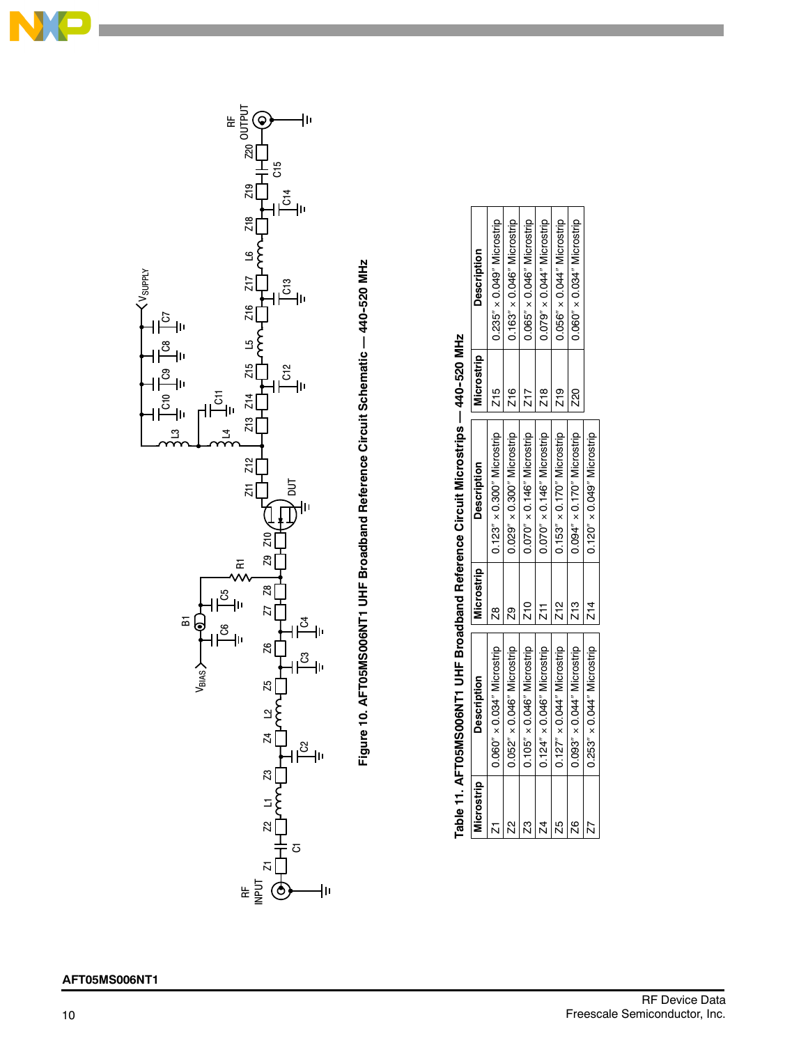

Figure 10. AFT05MS006NT1 UHF Broadband Reference Circuit Schematic -- 440-520 MHz Figure 10. AFTC6NS000SSONS0002011 UHF Broadband Reference Circuit Schematic Montage — 440-520 MHz

|                | Table 11. AFT05MS006NT1 UHF Broadband Reference Circuit Microstrips — 440-520 MHz |               |                                     |            |                                     |
|----------------|-----------------------------------------------------------------------------------|---------------|-------------------------------------|------------|-------------------------------------|
| Microstrip     | <b>Description</b>                                                                | Microstrip    | <b>Description</b>                  | Microstrip | <b>Description</b>                  |
|                | $0.060'' \times 0.034''$ Microstrip                                               | g             | $0.123'' \times 0.300''$ Microstrip | Z15        | $0.235'' \times 0.049''$ Microstrip |
|                | $0.052'' \times 0.046''$ Microstrip                                               | g             | $0.029'' \times 0.300''$ Microstrip | Z16        | $0.163'' \times 0.046''$ Microstrip |
| Z3             | $0.105'' \times 0.046''$ Microstrip                                               | $\frac{1}{2}$ | $0.070'' \times 0.146''$ Microstrip | Z17        | $0.065'' \times 0.046''$ Microstrip |
| $\overline{z}$ | $0.124'' \times 0.046''$ Microstrip                                               | Z11           | $0.070'' \times 0.146''$ Microstrip | Z18        | $0.079'' \times 0.044''$ Microstrip |
| 25             | $0.127'' \times 0.044''$ Microstrip                                               | Z12           | $0.153'' \times 0.170''$ Microstrip | Z19        | $0.056'' \times 0.044''$ Microstrip |
| 26             | $0.093'' \times 0.044''$ Microstrip                                               | Z13           | $0.094'' \times 0.170''$ Microstrip | 220        | $0.060'' \times 0.034''$ Microstrip |
|                | $0.253'' \times 0.044''$ Microstrip                                               | Z14           | $0.120'' \times 0.049''$ Microstrip |            |                                     |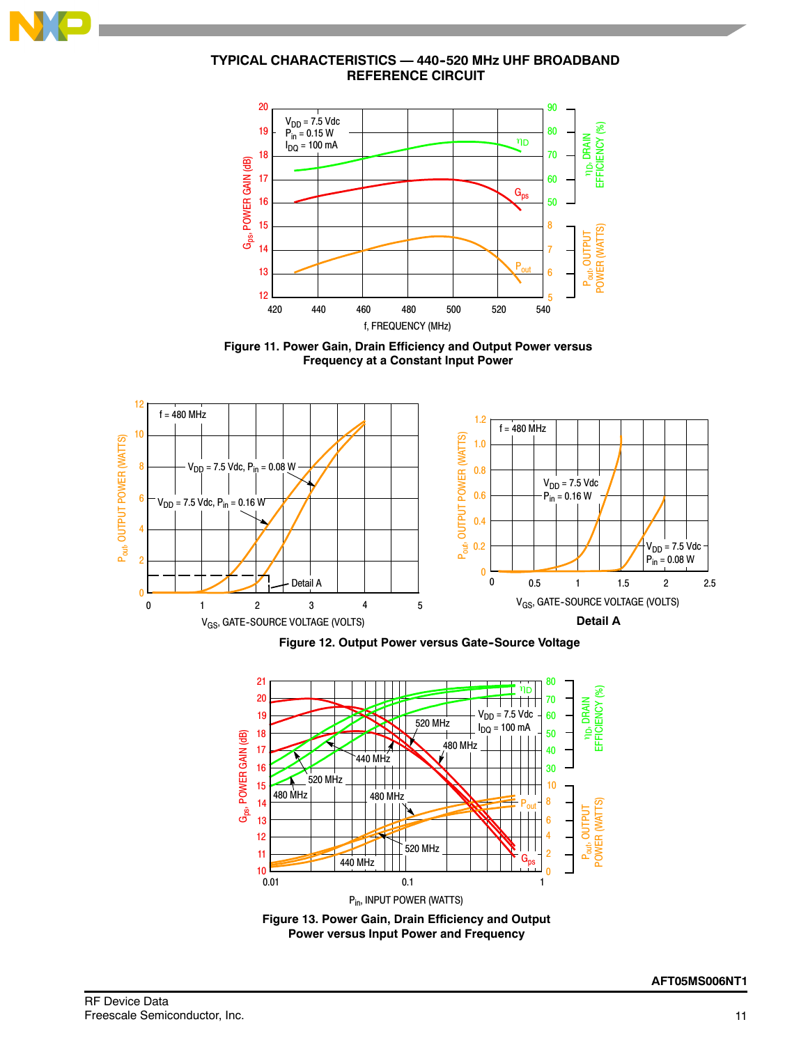

# **TYPICAL CHARACTERISTICS — 440--520 MHz UHF BROADBAND REFERENCE CIRCUIT**



**Figure 11. Power Gain, Drain Efficiency and Output Power versus Frequency at a Constant Input Power**



**Figure 12. Output Power versus Gate-Source Voltage** 



**Figure 13. Power Gain, Drain Efficiency and Output Power versus Input Power and Frequency**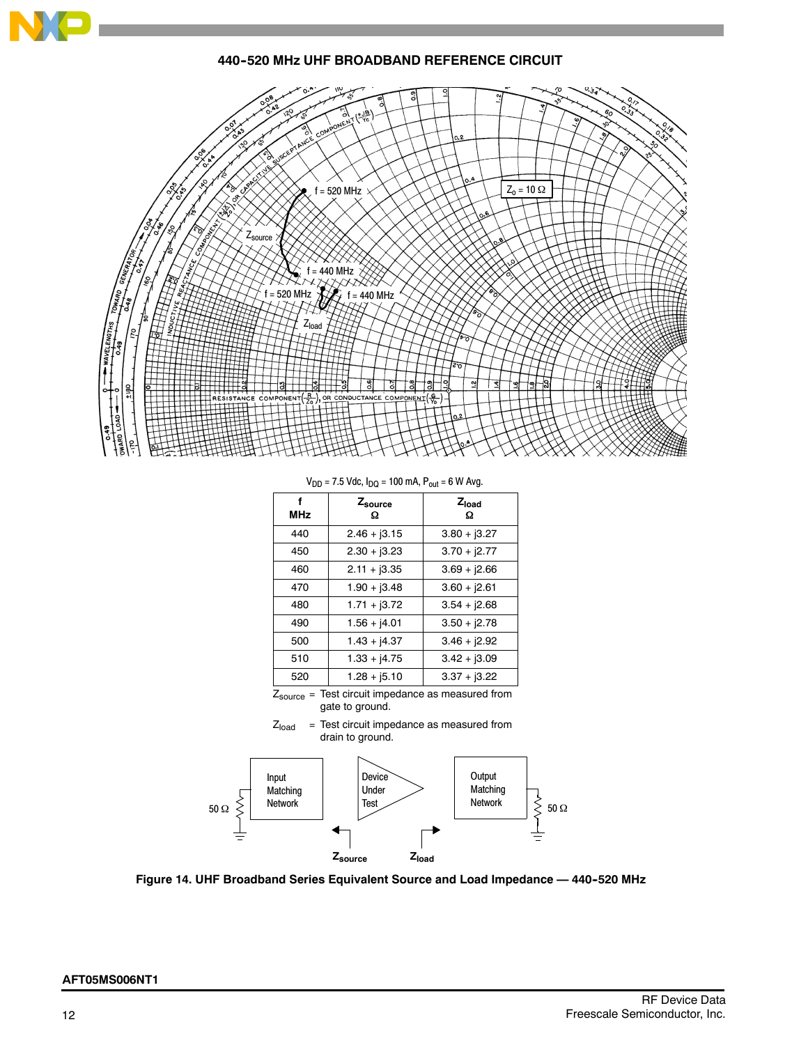

**440--520 MHz UHF BROADBAND REFERENCE CIRCUIT**



 $V_{DD}$  = 7.5 Vdc,  $I_{DQ}$  = 100 mA,  $P_{out}$  = 6 W Avg.

| f<br><b>MHz</b> | Zsource<br>Ω   | $Z_{load}$<br>Ω          |
|-----------------|----------------|--------------------------|
| 440             | $2.46 + 3.15$  | $3.80 + j3.27$           |
| 450             | $2.30 + j3.23$ | $3.70 + j2.77$           |
| 460             | $2.11 + j3.35$ | $3.69 + 2.66$            |
| 470             | $1.90 + j3.48$ | $3.60 + j2.61$           |
| 480             | $1.71 + j3.72$ | $3.54 + j2.68$           |
| 490             | $1.56 + j4.01$ | $3.50 + j2.78$           |
| 500             | $1.43 + j4.37$ | $3.46 + j2.92$           |
| 510             | $1.33 + j4.75$ | $3.42 + j3.09$           |
| 520             | $1.28 + j5.10$ | $3.37 + 3.22$            |
|                 |                | $\overline{\phantom{a}}$ |

 $Z_{\text{source}} = \text{Test circuit impedance as measured from}$ gate to ground.





**Figure 14. UHF Broadband Series Equivalent Source and Load Impedance — 440--520 MHz**

# **AFT05MS006NT1**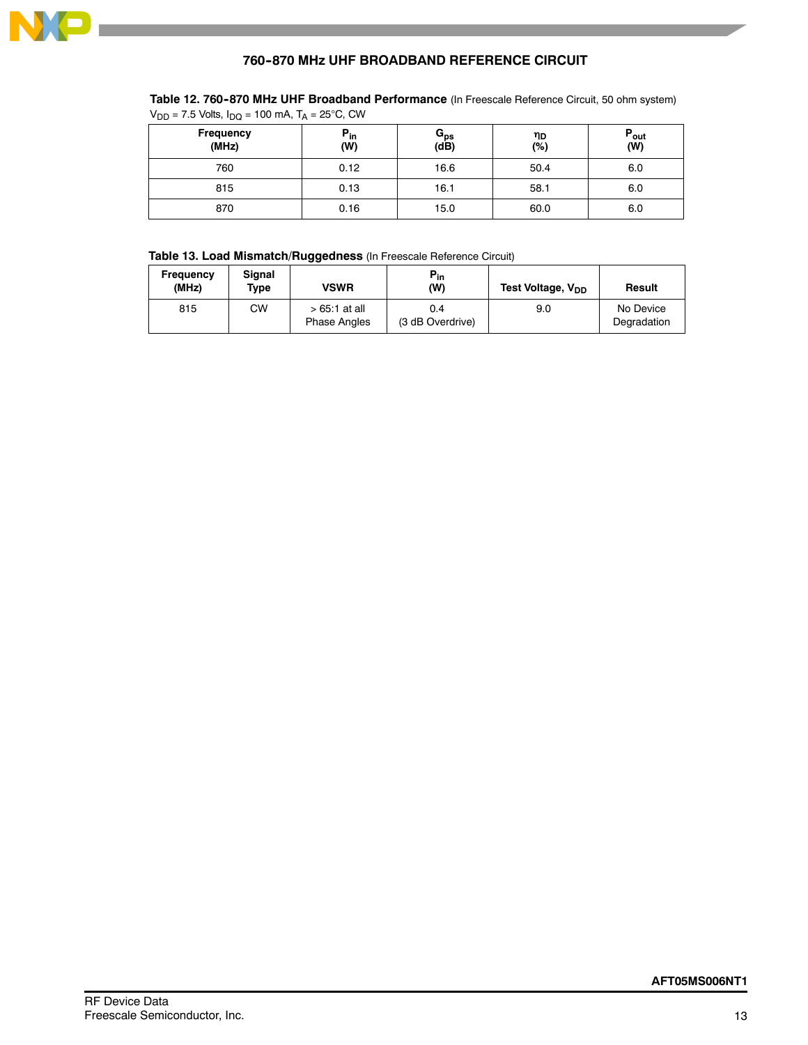

# **760-870 MHz UHF BROADBAND REFERENCE CIRCUIT**

# Table 12. 760-870 MHz UHF Broadband Performance (In Freescale Reference Circuit, 50 ohm system)  $V_{DD}$  = 7.5 Volts,  $I_{DQ}$  = 100 mA,  $T_A$  = 25°C, CW

| Frequency<br>(MHz) | $P_{in}$<br>(W) | $G_{ps}$<br>(dB) | ηD<br>(%) | $P_{\text{out}}$<br>(W) |
|--------------------|-----------------|------------------|-----------|-------------------------|
| 760                | 0.12            | 16.6             | 50.4      | 6.0                     |
| 815                | 0.13            | 16.1             | 58.1      | 6.0                     |
| 870                | 0.16            | 15.0             | 60.0      | 6.0                     |

# **Table 13. Load Mismatch/Ruggedness** (In Freescale Reference Circuit)

| Frequency<br>(MHz) | Signal<br>Type | <b>VSWR</b>                           | $P_{in}$<br>(W)         | Test Voltage, V <sub>DD</sub> | Result                   |
|--------------------|----------------|---------------------------------------|-------------------------|-------------------------------|--------------------------|
| 815                | СW             | $>65.1$ at all<br><b>Phase Angles</b> | 0.4<br>(3 dB Overdrive) | 9.0                           | No Device<br>Degradation |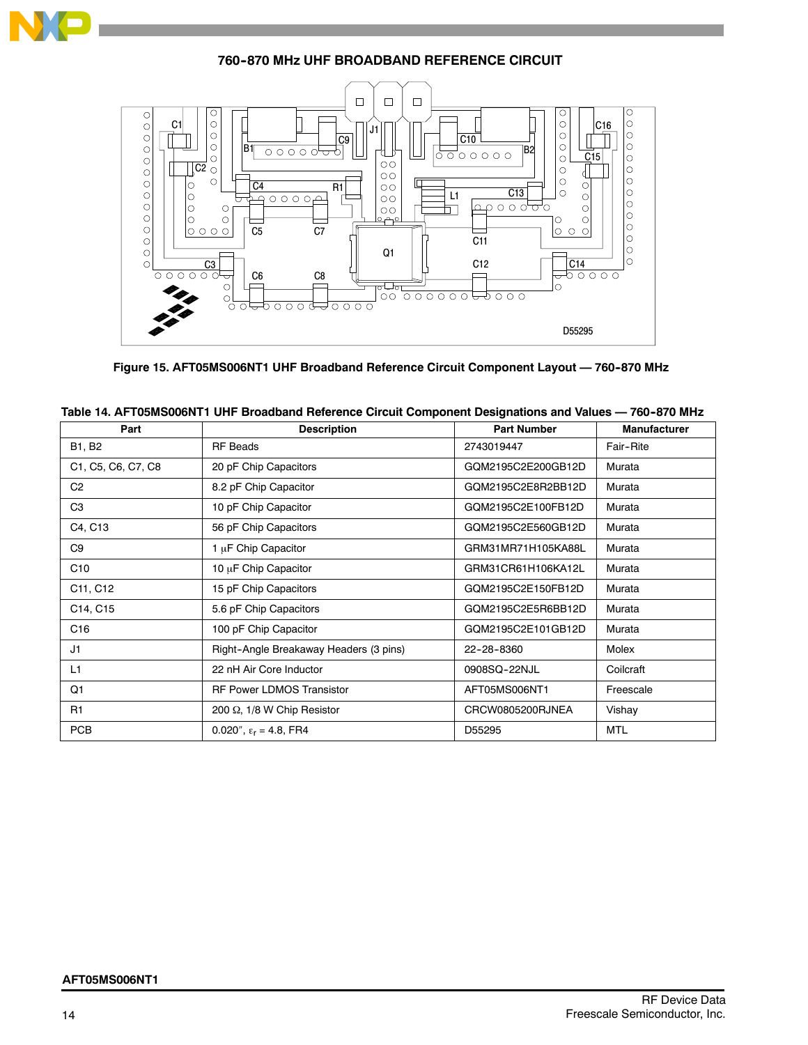

**760-870 MHz UHF BROADBAND REFERENCE CIRCUIT** 



**Figure 15. AFT05MS006NT1 UHF Broadband Reference Circuit Component Layout — 760--870 MHz**

| Part               | <b>Description</b>                     | <b>Part Number</b> | <b>Manufacturer</b> |
|--------------------|----------------------------------------|--------------------|---------------------|
| <b>B1, B2</b>      | <b>RF</b> Beads                        | 2743019447         | Fair-Rite           |
| C1, C5, C6, C7, C8 | 20 pF Chip Capacitors                  | GQM2195C2E200GB12D | Murata              |
| C <sub>2</sub>     | 8.2 pF Chip Capacitor                  | GQM2195C2E8R2BB12D | Murata              |
| C <sub>3</sub>     | 10 pF Chip Capacitor                   | GQM2195C2E100FB12D | Murata              |
| C4, C13            | 56 pF Chip Capacitors                  | GQM2195C2E560GB12D | Murata              |
| C <sub>9</sub>     | 1 µF Chip Capacitor                    | GRM31MR71H105KA88L | Murata              |
| C10                | 10 µF Chip Capacitor                   | GRM31CR61H106KA12L | Murata              |
| C11, C12           | 15 pF Chip Capacitors                  | GQM2195C2E150FB12D | Murata              |
| C14, C15           | 5.6 pF Chip Capacitors                 | GQM2195C2E5R6BB12D | Murata              |
| C16                | 100 pF Chip Capacitor                  | GQM2195C2E101GB12D | Murata              |
| J1                 | Right-Angle Breakaway Headers (3 pins) | 22-28-8360         | Molex               |
| L <sub>1</sub>     | 22 nH Air Core Inductor                | 0908SQ-22NJL       | Coilcraft           |
| Q1                 | <b>RF Power LDMOS Transistor</b>       | AFT05MS006NT1      | Freescale           |
| R <sub>1</sub>     | 200 $\Omega$ , 1/8 W Chip Resistor     | CRCW0805200RJNEA   | Vishay              |
| <b>PCB</b>         | 0.020", $\epsilon_r$ = 4.8, FR4        | D55295             | MTL                 |

| Table 14. AFT05MS006NT1 UHF Broadband Reference Circuit Component Designations and Values — 760-870 MHz |
|---------------------------------------------------------------------------------------------------------|
|---------------------------------------------------------------------------------------------------------|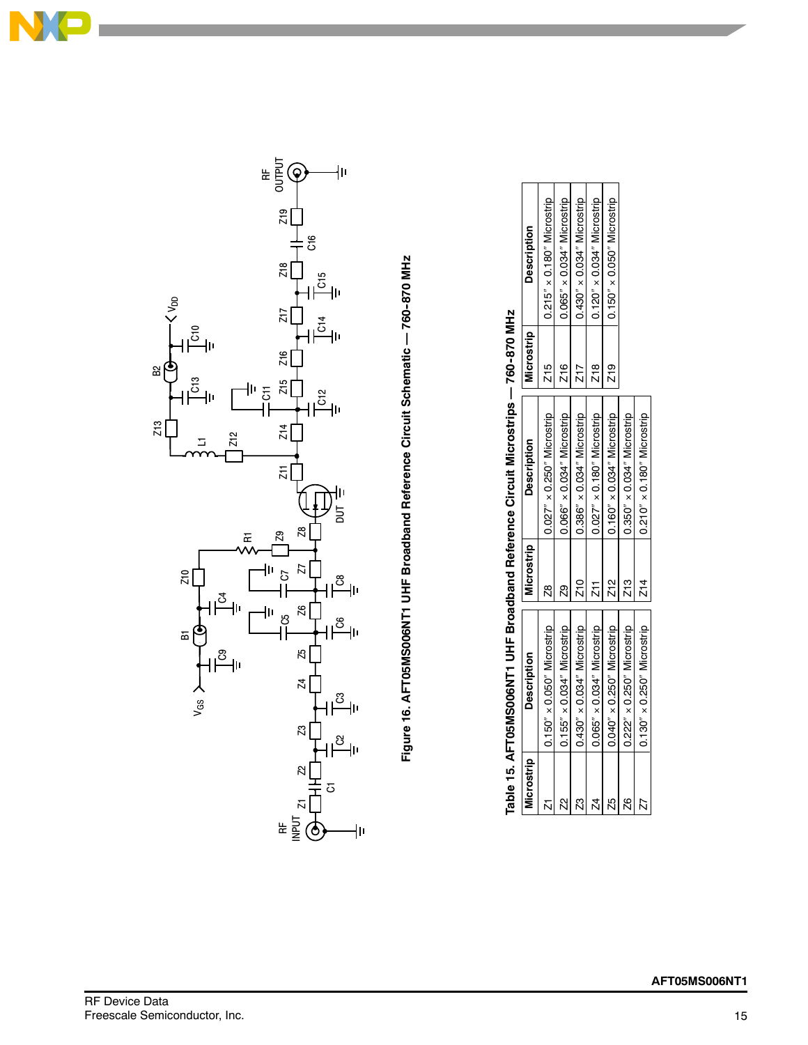



Figure 16. AFT05MS006NT1 UHF Broadband Reference Circuit Schematic - 760-870 MHz Figure 16. AFTCSNSMS000SSNS0002011 UHF Broadband Reference Circust Defension of the MHz

| Microstrip | <b>Description</b>                  | Microstrip | <b>Description</b>                  | Microstrip    | <b>Description</b>                  |
|------------|-------------------------------------|------------|-------------------------------------|---------------|-------------------------------------|
|            | $0.150'' \times 0.050''$ Microstrip | g          | $0.027'' \times 0.250''$ Microstrip | Z15           | 0.215" x 0.180" Microstrip          |
|            | $0.155'' \times 0.034''$ Microstrip |            | $0.066'' \times 0.034''$ Microstrip | Z16           | 0.065" x 0.034" Microstrip          |
|            | $0.430'' \times 0.034''$ Microstrip | Z10        | $0.386'' \times 0.034''$ Microstrip |               | $0.430'' \times 0.034''$ Microstrip |
| 24         | $0.065'' \times 0.034''$ Microstrip |            | $0.027'' \times 0.180''$ Microstrip | 718<br>71     | $0.120'' \times 0.034''$ Microstrip |
| K5         | $0.040'' \times 0.250''$ Microstrip | Z12        | $0.160'' \times 0.034''$ Microstrip | $\frac{9}{2}$ | $0.150'' \times 0.050''$ Microstrip |
| R<br>N     | $0.222'' \times 0.250''$ Microstrip | Z13        | $0.350'' \times 0.034''$ Microstrip |               |                                     |
| 22         | $0.130'' \times 0.250''$ Microstrip | Z14        | $0.210'' \times 0.180''$ Microstrip |               |                                     |

760-870 MH<sub>7</sub> Table 15. AFT05MS066NT1 UHF Broadband Reference Circuit Microstrips — 760-870 MHz ن<br>آگ たこにこ nd Bafa Table 15, AFT05MS006NT1 UHF Broadba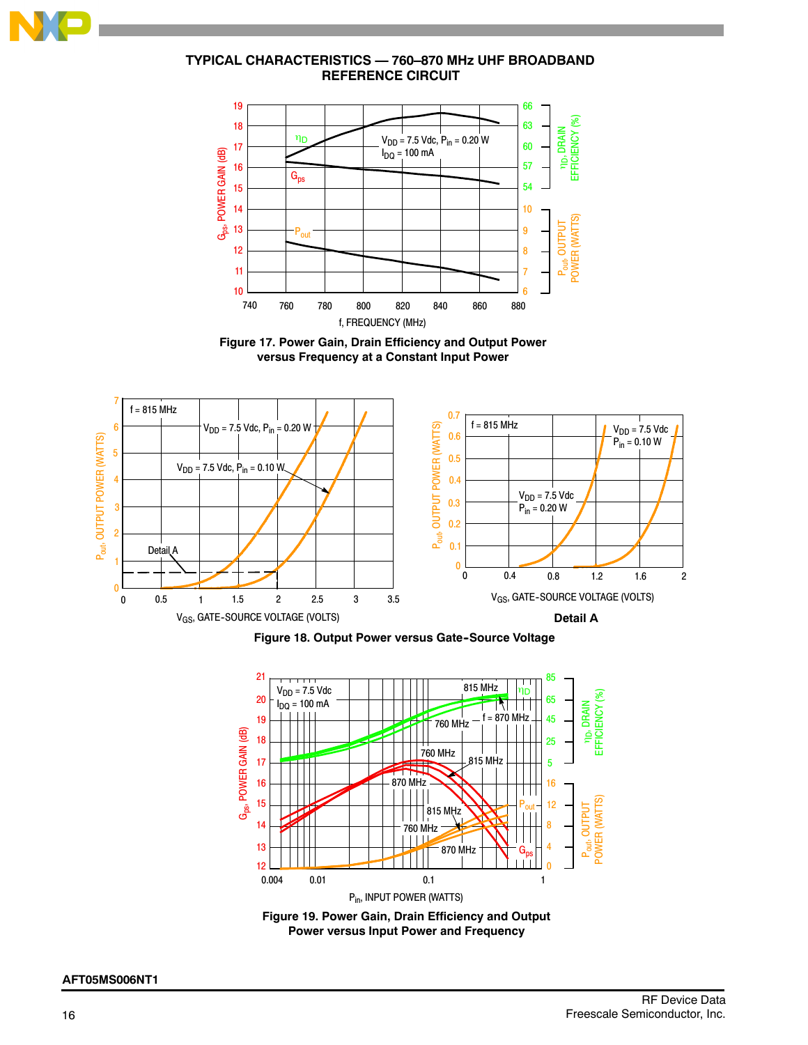

# **TYPICAL CHARACTERISTICS — 760–870 MHz UHF BROADBAND REFERENCE CIRCUIT**



**Figure 17. Power Gain, Drain Efficiency and Output Power versus Frequency at a Constant Input Power**



**Figure 18. Output Power versus Gate-Source Voltage** 



**Figure 19. Power Gain, Drain Efficiency and Output Power versus Input Power and Frequency**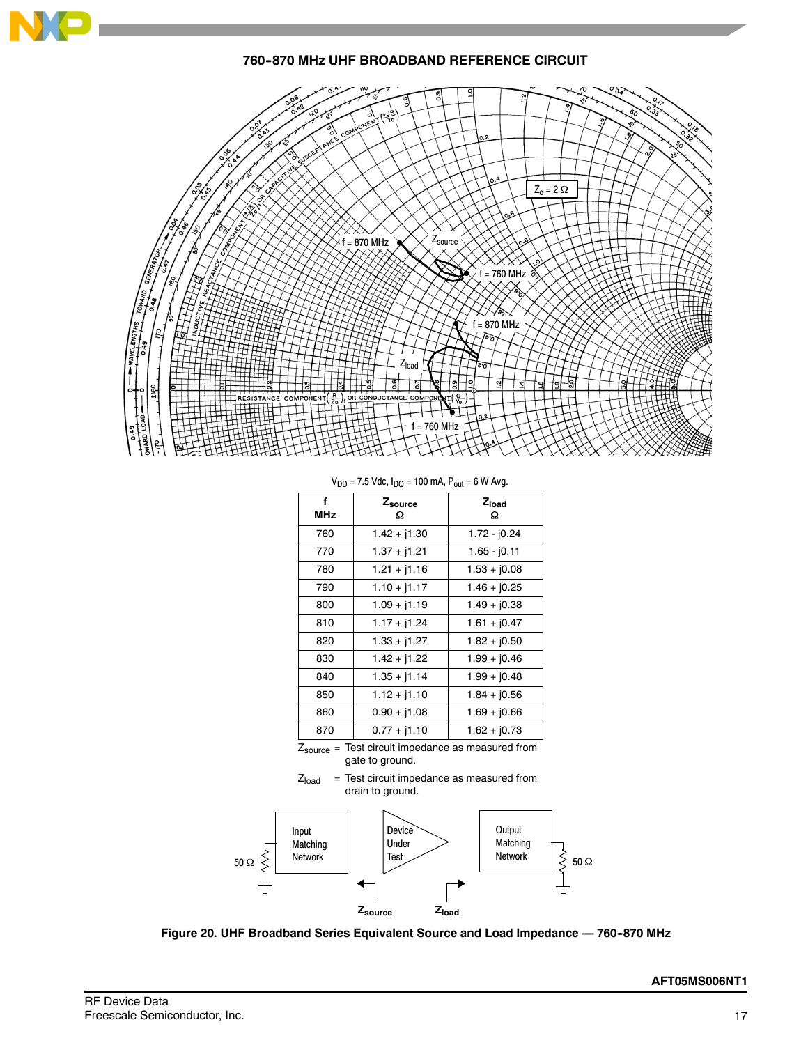

**760-870 MHz UHF BROADBAND REFERENCE CIRCUIT** 



 $V_{DD} = 7.5$  Vdc,  $I_{DD} = 100$  mA,  $P_{out} = 6$  W Avg.

|                 | ັບພ            |                        |
|-----------------|----------------|------------------------|
| f<br><b>MHz</b> | Zsource<br>Ω   | Z <sub>load</sub><br>Ω |
| 760             | $1.42 + j1.30$ | $1.72 - 10.24$         |
| 770             | $1.37 + j1.21$ | 1.65 - j0.11           |
| 780             | $1.21 + j1.16$ | $1.53 + j0.08$         |
| 790             | $1.10 + j1.17$ | $1.46 + j0.25$         |
| 800             | $1.09 + j1.19$ | $1.49 + j0.38$         |
| 810             | $1.17 + j1.24$ | $1.61 + j0.47$         |
| 820             | $1.33 + j1.27$ | $1.82 + j0.50$         |
| 830             | $1.42 + j1.22$ | $1.99 + j0.46$         |
| 840             | $1.35 + j1.14$ | $1.99 + j0.48$         |
| 850             | $1.12 + j1.10$ | $1.84 + j0.56$         |
| 860             | $0.90 + j1.08$ | $1.69 + j0.66$         |
| 870             | $0.77 + j1.10$ | $1.62 + j0.73$         |
|                 |                |                        |

Zsource = Test circuit impedance as measured from gate to ground.





Figure 20. UHF Broadband Series Equivalent Source and Load Impedance - 760-870 MHz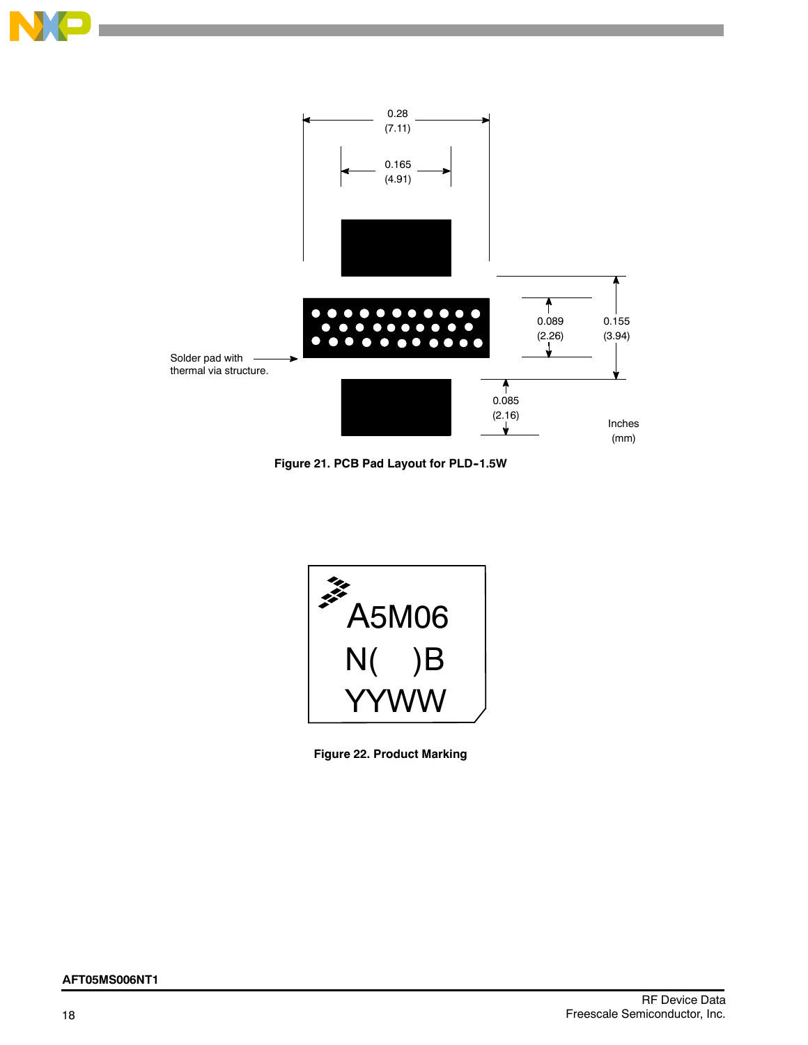



**Figure 21. PCB Pad Layout for PLD--1.5W**



**Figure 22. Product Marking**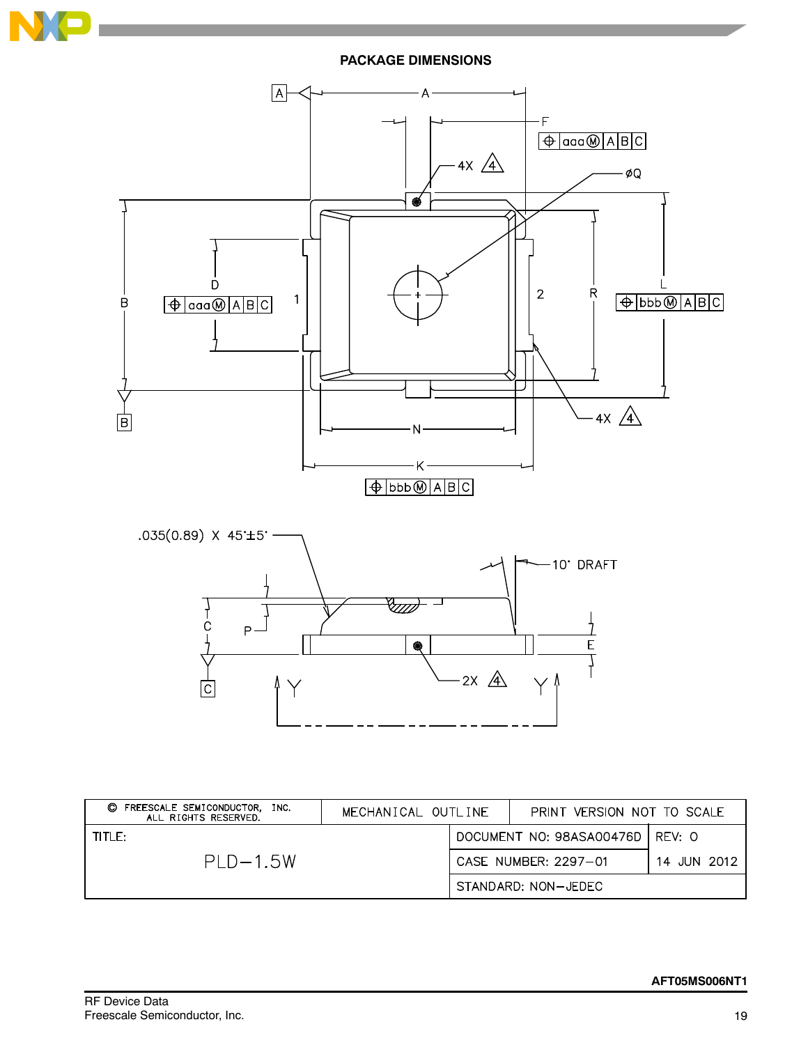

**PACKAGE DIMENSIONS**



| FREESCALE SEMICONDUCTOR,<br>O<br>INC.<br>ALL RIGHTS RESERVED. | MECHANICAL OUTLINE |  | PRINT VERSION NOT TO SCALE |             |
|---------------------------------------------------------------|--------------------|--|----------------------------|-------------|
| TITLE:                                                        |                    |  | DOCUMENT NO: 98ASA00476D   | REV: O      |
| $PLD-1.5W$                                                    |                    |  | CASE NUMBER: 2297-01       | 14 JUN 2012 |
|                                                               |                    |  | STANDARD: NON-JEDEC        |             |

Λ

Y

 $\overline{\mathsf{C}}$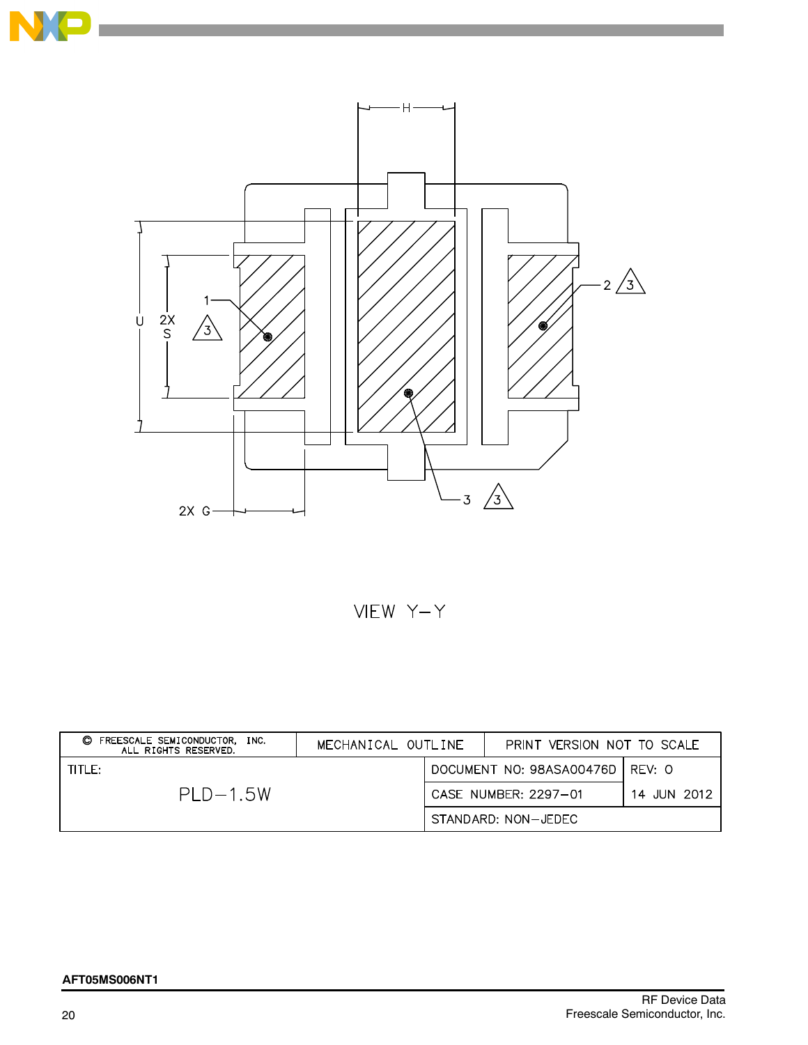



VIEW Y-Y

| C FREESCALE SEMICONDUCTOR.<br>INC.<br>ALL RIGHTS RESERVED. | MECHANICAL OUTLINE | PRINT VERSION NOT TO SCALE        |             |
|------------------------------------------------------------|--------------------|-----------------------------------|-------------|
| TITLE:                                                     |                    | DOCUMENT NO: 98ASA00476D   REV: O |             |
| $PI D-1.5W$                                                |                    | CASE NUMBER: 2297-01              | 14 JUN 2012 |
|                                                            |                    | STANDARD: NON-JEDEC               |             |

# **AFT05MS006NT1**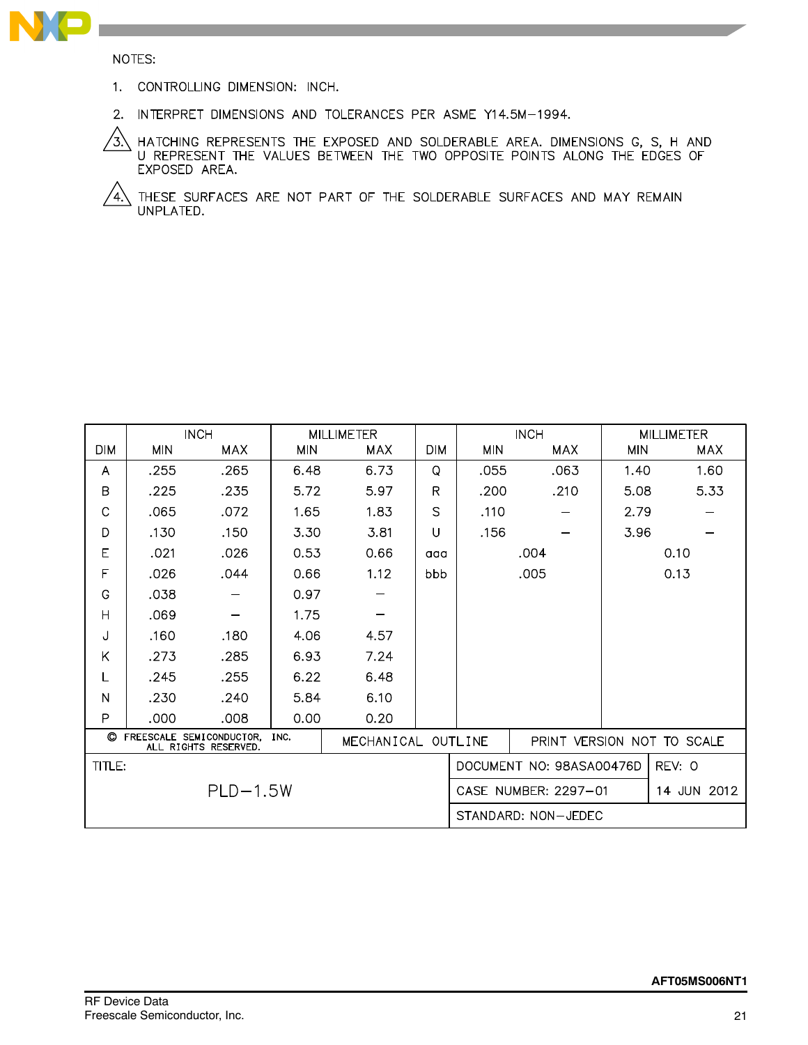

NOTES:

- 1. CONTROLLING DIMENSION: INCH.
- 2. INTERPRET DIMENSIONS AND TOLERANCES PER ASME Y14.5M-1994.

\ HATCHING REPRESENTS THE EXPOSED AND SOLDERABLE AREA. DIMENSIONS G, S, H AND<br>U REPRESENT THE VALUES BETWEEN THE TWO OPPOSITE POINTS ALONG THE EDGES OF /3) EXPOSED AREA.

 $\sqrt{4}$ THESE SURFACES ARE NOT PART OF THE SOLDERABLE SURFACES AND MAY REMAIN UNPLATED.

|                                                         | <b>INCH</b> |                    |            | <b>MILLIMETER</b> |                      | <b>INCH</b>  |                            | <b>MILLIMETER</b> |            |  |
|---------------------------------------------------------|-------------|--------------------|------------|-------------------|----------------------|--------------|----------------------------|-------------------|------------|--|
| <b>DIM</b>                                              | <b>MIN</b>  | <b>MAX</b>         | <b>MIN</b> | <b>MAX</b>        | <b>DIM</b>           | <b>MIN</b>   | <b>MAX</b>                 | <b>MIN</b>        | <b>MAX</b> |  |
| A                                                       | .255        | .265               | 6.48       | 6.73              | Q                    | .055         | .063                       | 1.40              | 1.60       |  |
| B                                                       | .225        | .235               | 5.72       | 5.97              | R                    | .200         | .210                       | 5.08              | 5.33       |  |
| C                                                       | .065        | .072               | 1.65       | 1.83              | S                    | .110         |                            | 2.79              |            |  |
| D                                                       | .130        | .150               | 3.30       | 3.81              | U                    | .156         |                            | 3.96              |            |  |
| E                                                       | .021        | .026               | 0.53       | 0.66              | aaa                  | .004<br>0.10 |                            |                   |            |  |
| F                                                       | .026        | .044               | 0.66       | 1.12              | bbb                  | .005         |                            |                   | 0.13       |  |
| G                                                       | .038        |                    | 0.97       |                   |                      |              |                            |                   |            |  |
| $\overline{H}$                                          | .069        |                    | 1.75       |                   |                      |              |                            |                   |            |  |
| J                                                       | .160        | .180               | 4.06       | 4.57              |                      |              |                            |                   |            |  |
| Κ                                                       | .273        | .285               | 6.93       | 7.24              |                      |              |                            |                   |            |  |
| L                                                       | .245        | .255               | 6.22       | 6.48              |                      |              |                            |                   |            |  |
| N                                                       | .230        | .240               | 5.84       | 6.10              |                      |              |                            |                   |            |  |
| P                                                       | .000        | .008               | 0.00       | 0.20              |                      |              |                            |                   |            |  |
| © FREESCALE SEMICONDUCTOR, INC.<br>ALL RIGHTS RESERVED. |             | MECHANICAL OUTLINE |            |                   |                      |              | PRINT VERSION NOT TO SCALE |                   |            |  |
| TITLE:                                                  |             |                    |            |                   |                      |              | DOCUMENT NO: 98ASA00476D   |                   | REV: 0     |  |
| $PLD-1.5W$                                              |             |                    |            |                   | CASE NUMBER: 2297-01 |              |                            | 14 JUN 2012       |            |  |
|                                                         |             |                    |            |                   |                      |              | STANDARD: NON-JEDEC        |                   |            |  |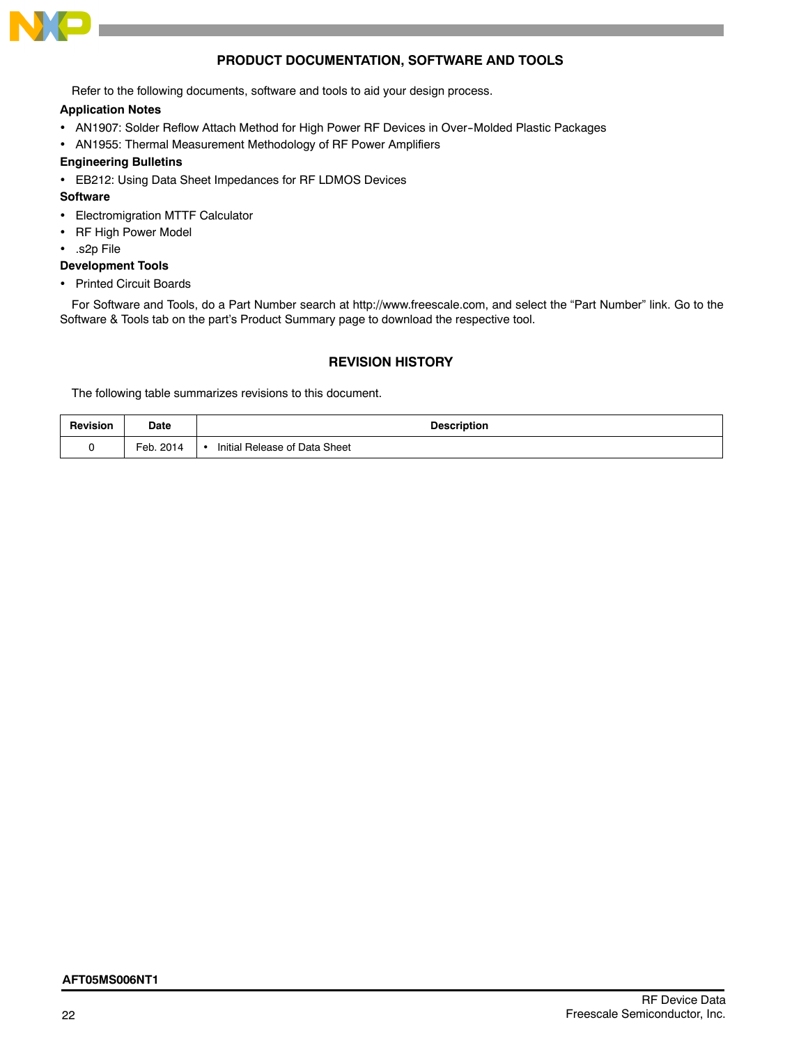

# **PRODUCT DOCUMENTATION, SOFTWARE AND TOOLS**

Refer to the following documents, software and tools to aid your design process.

# **Application Notes**

- AN1907: Solder Reflow Attach Method for High Power RF Devices in Over-Molded Plastic Packages
- AN1955: Thermal Measurement Methodology of RF Power Amplifiers

# **Engineering Bulletins**

EB212: Using Data Sheet Impedances for RF LDMOS Devices

# **Software**

- Electromigration MTTF Calculator
- RF High Power Model
- .s2p File

# **Development Tools**

• Printed Circuit Boards

For Software and Tools, do a Part Number search at http://www.freescale.com, and select the "Part Number" link. Go to the Software & Tools tab on the part's Product Summary page to download the respective tool.

# **REVISION HISTORY**

The following table summarizes revisions to this document.

| <b>Revision</b> | Date         | <b>Description</b>            |  |  |  |
|-----------------|--------------|-------------------------------|--|--|--|
|                 | Feb.<br>2014 | Initial Release of Data Sheet |  |  |  |